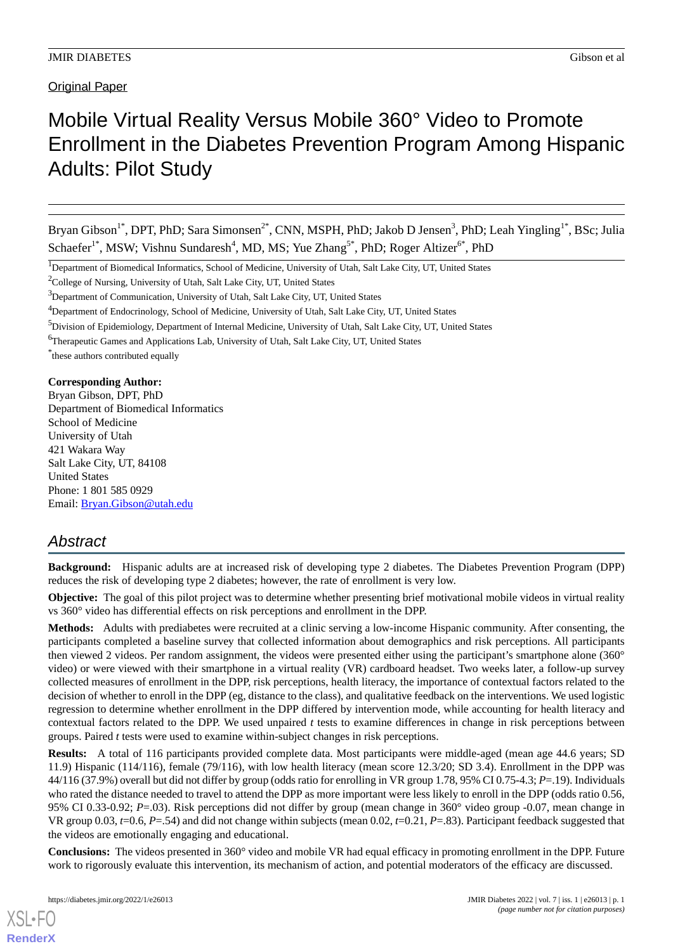Original Paper

# Mobile Virtual Reality Versus Mobile 360° Video to Promote Enrollment in the Diabetes Prevention Program Among Hispanic Adults: Pilot Study

Bryan Gibson<sup>1\*</sup>, DPT, PhD; Sara Simonsen<sup>2\*</sup>, CNN, MSPH, PhD; Jakob D Jensen<sup>3</sup>, PhD; Leah Yingling<sup>1\*</sup>, BSc; Julia Schaefer<sup>1\*</sup>, MSW; Vishnu Sundaresh<sup>4</sup>, MD, MS; Yue Zhang<sup>5\*</sup>, PhD; Roger Altizer<sup>6\*</sup>, PhD

<sup>1</sup>Department of Biomedical Informatics, School of Medicine, University of Utah, Salt Lake City, UT, United States

 $2^2$ College of Nursing, University of Utah, Salt Lake City, UT, United States

<sup>3</sup>Department of Communication, University of Utah, Salt Lake City, UT, United States

\* these authors contributed equally

**Corresponding Author:**

Bryan Gibson, DPT, PhD Department of Biomedical Informatics School of Medicine University of Utah 421 Wakara Way Salt Lake City, UT, 84108 United States Phone: 1 801 585 0929 Email: [Bryan.Gibson@utah.edu](mailto:Bryan.Gibson@utah.edu)

# *Abstract*

**Background:** Hispanic adults are at increased risk of developing type 2 diabetes. The Diabetes Prevention Program (DPP) reduces the risk of developing type 2 diabetes; however, the rate of enrollment is very low.

**Objective:** The goal of this pilot project was to determine whether presenting brief motivational mobile videos in virtual reality vs 360° video has differential effects on risk perceptions and enrollment in the DPP.

**Methods:** Adults with prediabetes were recruited at a clinic serving a low-income Hispanic community. After consenting, the participants completed a baseline survey that collected information about demographics and risk perceptions. All participants then viewed 2 videos. Per random assignment, the videos were presented either using the participant's smartphone alone (360° video) or were viewed with their smartphone in a virtual reality (VR) cardboard headset. Two weeks later, a follow-up survey collected measures of enrollment in the DPP, risk perceptions, health literacy, the importance of contextual factors related to the decision of whether to enroll in the DPP (eg, distance to the class), and qualitative feedback on the interventions. We used logistic regression to determine whether enrollment in the DPP differed by intervention mode, while accounting for health literacy and contextual factors related to the DPP. We used unpaired *t* tests to examine differences in change in risk perceptions between groups. Paired *t* tests were used to examine within-subject changes in risk perceptions.

**Results:** A total of 116 participants provided complete data. Most participants were middle-aged (mean age 44.6 years; SD 11.9) Hispanic (114/116), female (79/116), with low health literacy (mean score 12.3/20; SD 3.4). Enrollment in the DPP was 44/116 (37.9%) overall but did not differ by group (odds ratio for enrolling in VR group 1.78, 95% CI 0.75-4.3; *P*=.19). Individuals who rated the distance needed to travel to attend the DPP as more important were less likely to enroll in the DPP (odds ratio 0.56, 95% CI 0.33-0.92; *P*=.03). Risk perceptions did not differ by group (mean change in 360° video group -0.07, mean change in VR group 0.03, *t*=0.6, *P*=.54) and did not change within subjects (mean 0.02, *t*=0.21, *P*=.83). Participant feedback suggested that the videos are emotionally engaging and educational.

**Conclusions:** The videos presented in 360° video and mobile VR had equal efficacy in promoting enrollment in the DPP. Future work to rigorously evaluate this intervention, its mechanism of action, and potential moderators of the efficacy are discussed.

<sup>4</sup>Department of Endocrinology, School of Medicine, University of Utah, Salt Lake City, UT, United States

<sup>&</sup>lt;sup>5</sup>Division of Epidemiology, Department of Internal Medicine, University of Utah, Salt Lake City, UT, United States

<sup>6</sup>Therapeutic Games and Applications Lab, University of Utah, Salt Lake City, UT, United States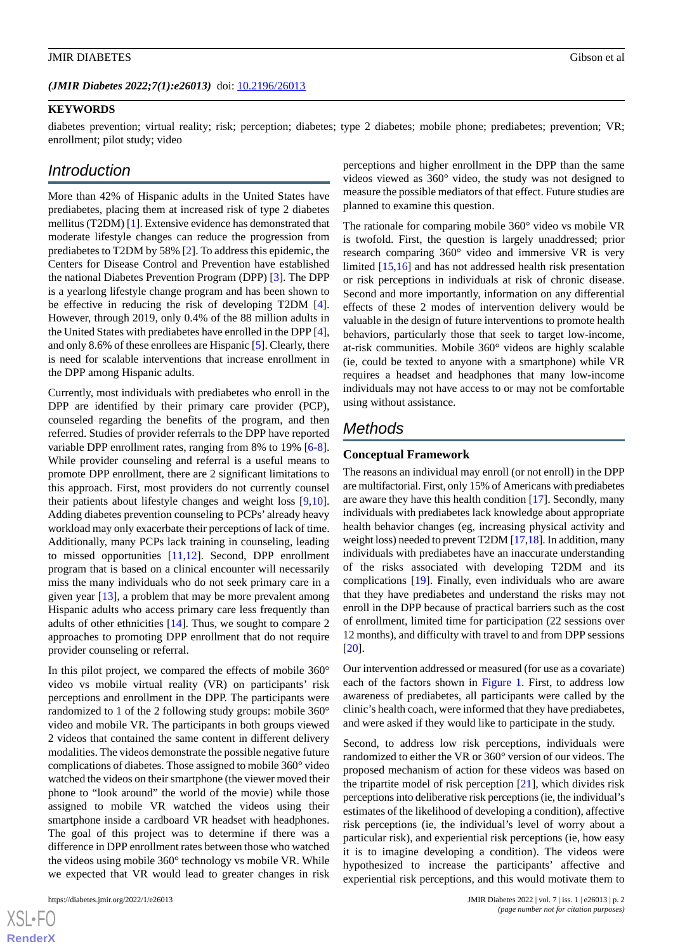#### **KEYWORDS**

diabetes prevention; virtual reality; risk; perception; diabetes; type 2 diabetes; mobile phone; prediabetes; prevention; VR; enrollment; pilot study; video

# *Introduction*

More than 42% of Hispanic adults in the United States have prediabetes, placing them at increased risk of type 2 diabetes mellitus (T2DM) [[1](#page-7-0)]. Extensive evidence has demonstrated that moderate lifestyle changes can reduce the progression from prediabetes to T2DM by 58% [[2\]](#page-7-1). To address this epidemic, the Centers for Disease Control and Prevention have established the national Diabetes Prevention Program (DPP) [\[3](#page-7-2)]. The DPP is a yearlong lifestyle change program and has been shown to be effective in reducing the risk of developing T2DM [[4\]](#page-7-3). However, through 2019, only 0.4% of the 88 million adults in the United States with prediabetes have enrolled in the DPP [[4\]](#page-7-3), and only 8.6% of these enrollees are Hispanic [\[5](#page-7-4)]. Clearly, there is need for scalable interventions that increase enrollment in the DPP among Hispanic adults.

Currently, most individuals with prediabetes who enroll in the DPP are identified by their primary care provider (PCP), counseled regarding the benefits of the program, and then referred. Studies of provider referrals to the DPP have reported variable DPP enrollment rates, ranging from 8% to 19% [\[6-](#page-7-5)[8\]](#page-7-6). While provider counseling and referral is a useful means to promote DPP enrollment, there are 2 significant limitations to this approach. First, most providers do not currently counsel their patients about lifestyle changes and weight loss [\[9](#page-7-7),[10\]](#page-7-8). Adding diabetes prevention counseling to PCPs' already heavy workload may only exacerbate their perceptions of lack of time. Additionally, many PCPs lack training in counseling, leading to missed opportunities [[11](#page-7-9)[,12](#page-7-10)]. Second, DPP enrollment program that is based on a clinical encounter will necessarily miss the many individuals who do not seek primary care in a given year [\[13](#page-7-11)], a problem that may be more prevalent among Hispanic adults who access primary care less frequently than adults of other ethnicities [[14\]](#page-7-12). Thus, we sought to compare 2 approaches to promoting DPP enrollment that do not require provider counseling or referral.

In this pilot project, we compared the effects of mobile 360° video vs mobile virtual reality (VR) on participants' risk perceptions and enrollment in the DPP. The participants were randomized to 1 of the 2 following study groups: mobile 360° video and mobile VR. The participants in both groups viewed 2 videos that contained the same content in different delivery modalities. The videos demonstrate the possible negative future complications of diabetes. Those assigned to mobile 360° video watched the videos on their smartphone (the viewer moved their phone to "look around" the world of the movie) while those assigned to mobile VR watched the videos using their smartphone inside a cardboard VR headset with headphones. The goal of this project was to determine if there was a difference in DPP enrollment rates between those who watched the videos using mobile 360° technology vs mobile VR. While we expected that VR would lead to greater changes in risk

perceptions and higher enrollment in the DPP than the same videos viewed as 360° video, the study was not designed to measure the possible mediators of that effect. Future studies are planned to examine this question.

The rationale for comparing mobile 360° video vs mobile VR is twofold. First, the question is largely unaddressed; prior research comparing 360° video and immersive VR is very limited [\[15](#page-7-13),[16\]](#page-7-14) and has not addressed health risk presentation or risk perceptions in individuals at risk of chronic disease. Second and more importantly, information on any differential effects of these 2 modes of intervention delivery would be valuable in the design of future interventions to promote health behaviors, particularly those that seek to target low-income, at-risk communities. Mobile 360° videos are highly scalable (ie, could be texted to anyone with a smartphone) while VR requires a headset and headphones that many low-income individuals may not have access to or may not be comfortable using without assistance.

## *Methods*

#### **Conceptual Framework**

The reasons an individual may enroll (or not enroll) in the DPP are multifactorial. First, only 15% of Americans with prediabetes are aware they have this health condition [\[17](#page-8-0)]. Secondly, many individuals with prediabetes lack knowledge about appropriate health behavior changes (eg, increasing physical activity and weight loss) needed to prevent T2DM [[17,](#page-8-0)[18\]](#page-8-1). In addition, many individuals with prediabetes have an inaccurate understanding of the risks associated with developing T2DM and its complications [\[19](#page-8-2)]. Finally, even individuals who are aware that they have prediabetes and understand the risks may not enroll in the DPP because of practical barriers such as the cost of enrollment, limited time for participation (22 sessions over 12 months), and difficulty with travel to and from DPP sessions [[20\]](#page-8-3).

Our intervention addressed or measured (for use as a covariate) each of the factors shown in [Figure 1](#page-2-0). First, to address low awareness of prediabetes, all participants were called by the clinic's health coach, were informed that they have prediabetes, and were asked if they would like to participate in the study.

Second, to address low risk perceptions, individuals were randomized to either the VR or 360° version of our videos. The proposed mechanism of action for these videos was based on the tripartite model of risk perception [[21\]](#page-8-4), which divides risk perceptions into deliberative risk perceptions (ie, the individual's estimates of the likelihood of developing a condition), affective risk perceptions (ie, the individual's level of worry about a particular risk), and experiential risk perceptions (ie, how easy it is to imagine developing a condition). The videos were hypothesized to increase the participants' affective and experiential risk perceptions, and this would motivate them to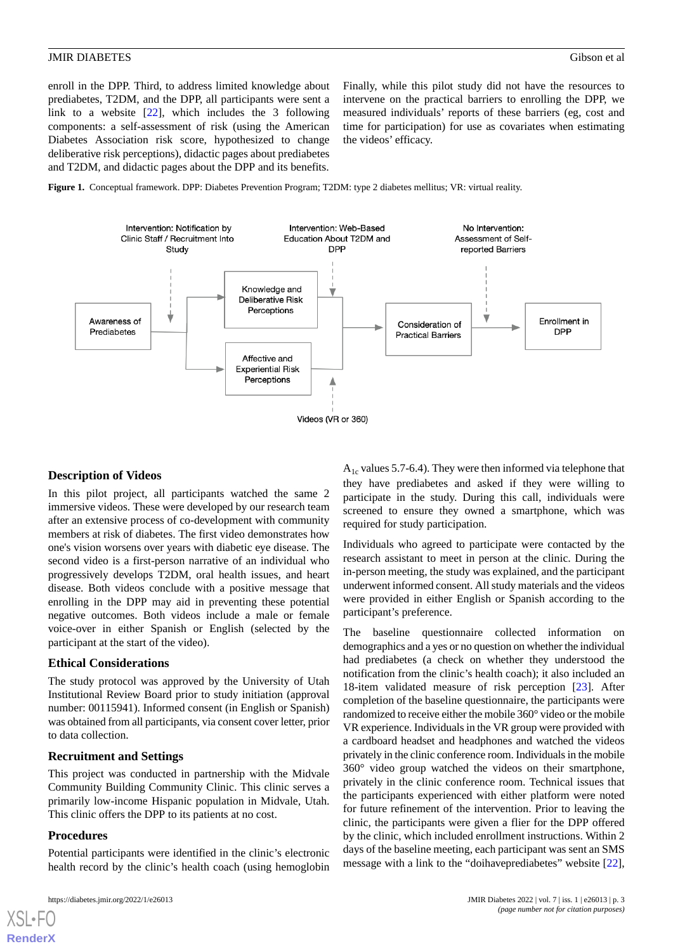enroll in the DPP. Third, to address limited knowledge about prediabetes, T2DM, and the DPP, all participants were sent a link to a website  $[22]$  $[22]$ , which includes the 3 following components: a self-assessment of risk (using the American Diabetes Association risk score, hypothesized to change deliberative risk perceptions), didactic pages about prediabetes and T2DM, and didactic pages about the DPP and its benefits.

Finally, while this pilot study did not have the resources to intervene on the practical barriers to enrolling the DPP, we measured individuals' reports of these barriers (eg, cost and time for participation) for use as covariates when estimating the videos' efficacy.

<span id="page-2-0"></span>**Figure 1.** Conceptual framework. DPP: Diabetes Prevention Program; T2DM: type 2 diabetes mellitus; VR: virtual reality.



### **Description of Videos**

In this pilot project, all participants watched the same 2 immersive videos. These were developed by our research team after an extensive process of co-development with community members at risk of diabetes. The first video demonstrates how one's vision worsens over years with diabetic eye disease. The second video is a first-person narrative of an individual who progressively develops T2DM, oral health issues, and heart disease. Both videos conclude with a positive message that enrolling in the DPP may aid in preventing these potential negative outcomes. Both videos include a male or female voice-over in either Spanish or English (selected by the participant at the start of the video).

#### **Ethical Considerations**

The study protocol was approved by the University of Utah Institutional Review Board prior to study initiation (approval number: 00115941). Informed consent (in English or Spanish) was obtained from all participants, via consent cover letter, prior to data collection.

#### **Recruitment and Settings**

This project was conducted in partnership with the Midvale Community Building Community Clinic. This clinic serves a primarily low-income Hispanic population in Midvale, Utah. This clinic offers the DPP to its patients at no cost.

#### **Procedures**

Potential participants were identified in the clinic's electronic health record by the clinic's health coach (using hemoglobin

 $A<sub>1c</sub>$  values 5.7-6.4). They were then informed via telephone that they have prediabetes and asked if they were willing to participate in the study. During this call, individuals were screened to ensure they owned a smartphone, which was required for study participation.

Individuals who agreed to participate were contacted by the research assistant to meet in person at the clinic. During the in-person meeting, the study was explained, and the participant underwent informed consent. All study materials and the videos were provided in either English or Spanish according to the participant's preference.

The baseline questionnaire collected information on demographics and a yes or no question on whether the individual had prediabetes (a check on whether they understood the notification from the clinic's health coach); it also included an 18-item validated measure of risk perception [[23\]](#page-8-6). After completion of the baseline questionnaire, the participants were randomized to receive either the mobile 360° video or the mobile VR experience. Individuals in the VR group were provided with a cardboard headset and headphones and watched the videos privately in the clinic conference room. Individuals in the mobile 360° video group watched the videos on their smartphone, privately in the clinic conference room. Technical issues that the participants experienced with either platform were noted for future refinement of the intervention. Prior to leaving the clinic, the participants were given a flier for the DPP offered by the clinic, which included enrollment instructions. Within 2 days of the baseline meeting, each participant was sent an SMS message with a link to the "doihaveprediabetes" website [[22\]](#page-8-5),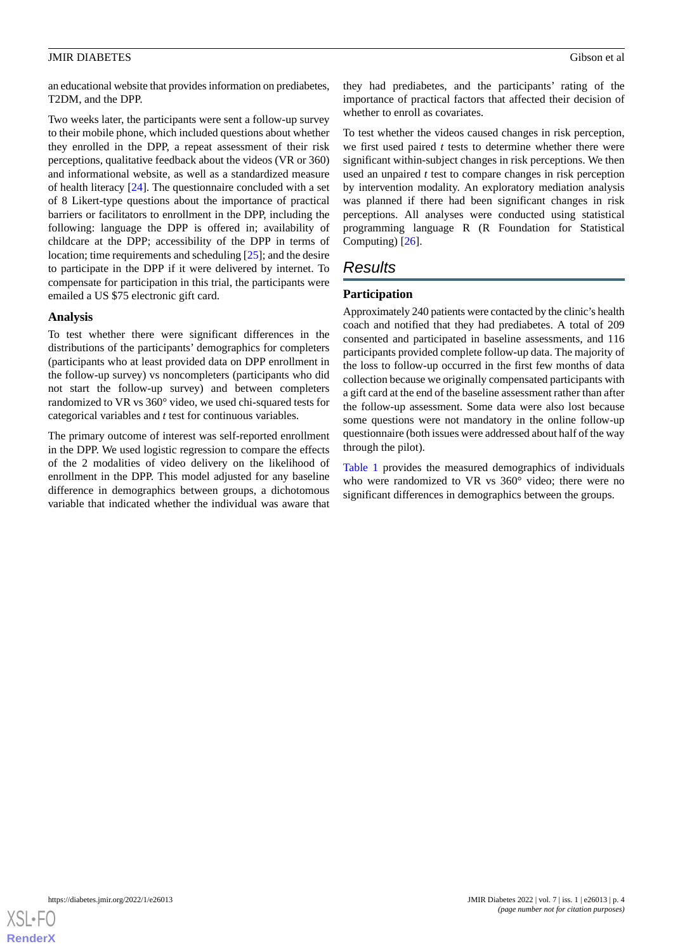an educational website that provides information on prediabetes, T2DM, and the DPP.

Two weeks later, the participants were sent a follow-up survey to their mobile phone, which included questions about whether they enrolled in the DPP, a repeat assessment of their risk perceptions, qualitative feedback about the videos (VR or 360) and informational website, as well as a standardized measure of health literacy [\[24](#page-8-7)]. The questionnaire concluded with a set of 8 Likert-type questions about the importance of practical barriers or facilitators to enrollment in the DPP, including the following: language the DPP is offered in; availability of childcare at the DPP; accessibility of the DPP in terms of location; time requirements and scheduling [[25\]](#page-8-8); and the desire to participate in the DPP if it were delivered by internet. To compensate for participation in this trial, the participants were emailed a US \$75 electronic gift card.

#### **Analysis**

To test whether there were significant differences in the distributions of the participants' demographics for completers (participants who at least provided data on DPP enrollment in the follow-up survey) vs noncompleters (participants who did not start the follow-up survey) and between completers randomized to VR vs 360° video, we used chi-squared tests for categorical variables and *t* test for continuous variables.

The primary outcome of interest was self-reported enrollment in the DPP. We used logistic regression to compare the effects of the 2 modalities of video delivery on the likelihood of enrollment in the DPP. This model adjusted for any baseline difference in demographics between groups, a dichotomous variable that indicated whether the individual was aware that

they had prediabetes, and the participants' rating of the importance of practical factors that affected their decision of whether to enroll as covariates.

To test whether the videos caused changes in risk perception, we first used paired *t* tests to determine whether there were significant within-subject changes in risk perceptions. We then used an unpaired *t* test to compare changes in risk perception by intervention modality. An exploratory mediation analysis was planned if there had been significant changes in risk perceptions. All analyses were conducted using statistical programming language R (R Foundation for Statistical Computing) [[26\]](#page-8-9).

# *Results*

### **Participation**

Approximately 240 patients were contacted by the clinic's health coach and notified that they had prediabetes. A total of 209 consented and participated in baseline assessments, and 116 participants provided complete follow-up data. The majority of the loss to follow-up occurred in the first few months of data collection because we originally compensated participants with a gift card at the end of the baseline assessment rather than after the follow-up assessment. Some data were also lost because some questions were not mandatory in the online follow-up questionnaire (both issues were addressed about half of the way through the pilot).

[Table 1](#page-4-0) provides the measured demographics of individuals who were randomized to VR vs 360° video; there were no significant differences in demographics between the groups.

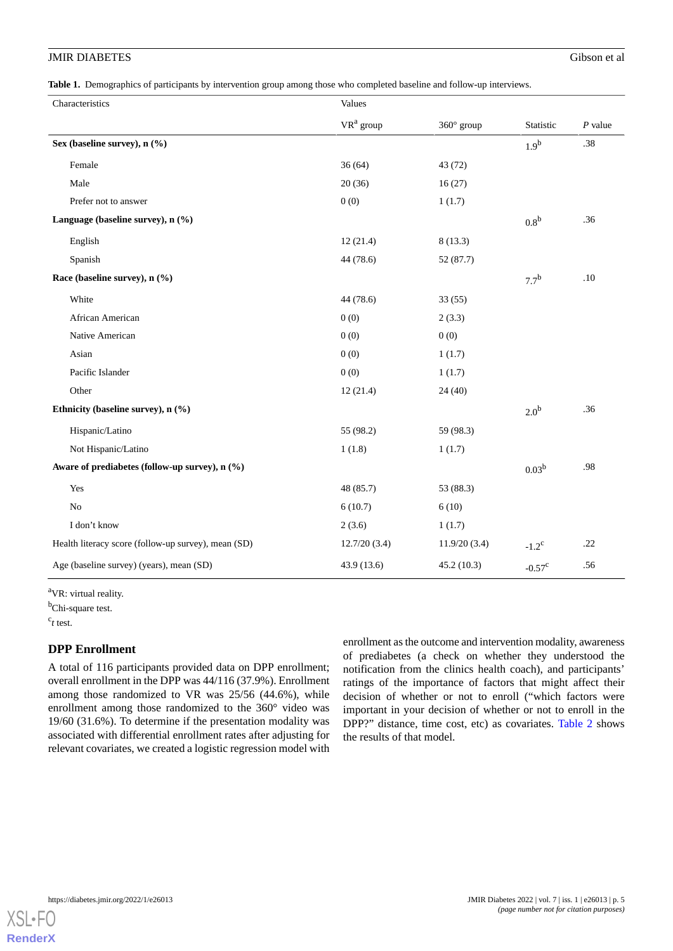<span id="page-4-0"></span>**Table 1.** Demographics of participants by intervention group among those who completed baseline and follow-up interviews.

| Characteristics                                     | Values       |                   |                   |           |
|-----------------------------------------------------|--------------|-------------------|-------------------|-----------|
|                                                     | $VR^a$ group | $360^\circ$ group | Statistic         | $P$ value |
| Sex (baseline survey), n (%)                        |              |                   | 1.9 <sup>b</sup>  | .38       |
| Female                                              | 36(64)       | 43 (72)           |                   |           |
| Male                                                | 20(36)       | 16(27)            |                   |           |
| Prefer not to answer                                | 0(0)         | 1(1.7)            |                   |           |
| Language (baseline survey), n (%)                   |              |                   | 0.8 <sup>b</sup>  | .36       |
| English                                             | 12(21.4)     | 8(13.3)           |                   |           |
| Spanish                                             | 44 (78.6)    | 52 (87.7)         |                   |           |
| Race (baseline survey), n (%)                       |              |                   | 7.7 <sup>b</sup>  | .10       |
| White                                               | 44 (78.6)    | 33(55)            |                   |           |
| African American                                    | 0(0)         | 2(3.3)            |                   |           |
| Native American                                     | 0(0)         | 0(0)              |                   |           |
| Asian                                               | 0(0)         | 1(1.7)            |                   |           |
| Pacific Islander                                    | 0(0)         | 1(1.7)            |                   |           |
| Other                                               | 12(21.4)     | 24(40)            |                   |           |
| Ethnicity (baseline survey), n (%)                  |              |                   | 2.0 <sup>b</sup>  | .36       |
| Hispanic/Latino                                     | 55 (98.2)    | 59 (98.3)         |                   |           |
| Not Hispanic/Latino                                 | 1(1.8)       | 1(1.7)            |                   |           |
| Aware of prediabetes (follow-up survey), n (%)      |              |                   | 0.03 <sup>b</sup> | .98       |
| Yes                                                 | 48 (85.7)    | 53 (88.3)         |                   |           |
| N <sub>o</sub>                                      | 6(10.7)      | 6(10)             |                   |           |
| I don't know                                        | 2(3.6)       | 1(1.7)            |                   |           |
| Health literacy score (follow-up survey), mean (SD) | 12.7/20(3.4) | 11.9/20(3.4)      | $-1.2^{\rm c}$    | .22       |
| Age (baseline survey) (years), mean (SD)            | 43.9 (13.6)  | 45.2(10.3)        | $-0.57^{\circ}$   | .56       |

<sup>a</sup>VR: virtual reality.

b<sub>Chi-square test.</sub>

c *t* test.

## **DPP Enrollment**

A total of 116 participants provided data on DPP enrollment; overall enrollment in the DPP was 44/116 (37.9%). Enrollment among those randomized to VR was 25/56 (44.6%), while enrollment among those randomized to the 360° video was 19/60 (31.6%). To determine if the presentation modality was associated with differential enrollment rates after adjusting for relevant covariates, we created a logistic regression model with

enrollment as the outcome and intervention modality, awareness of prediabetes (a check on whether they understood the notification from the clinics health coach), and participants' ratings of the importance of factors that might affect their decision of whether or not to enroll ("which factors were important in your decision of whether or not to enroll in the DPP?" distance, time cost, etc) as covariates. [Table 2](#page-5-0) shows the results of that model.

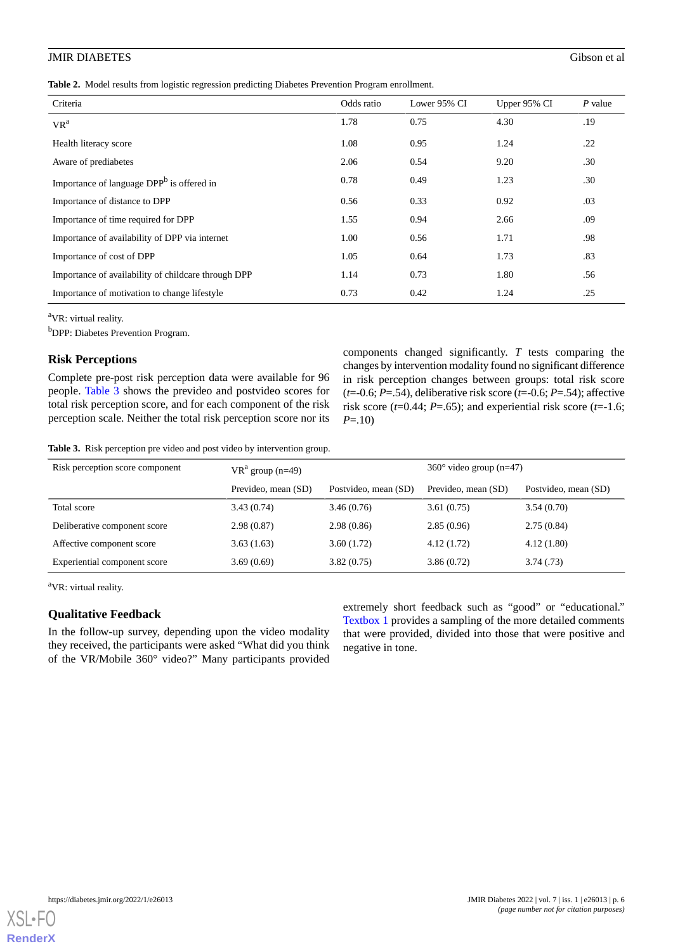<span id="page-5-0"></span>**Table 2.** Model results from logistic regression predicting Diabetes Prevention Program enrollment.

| Criteria                                              | Odds ratio | Lower 95% CI | Upper 95% CI | $P$ value |
|-------------------------------------------------------|------------|--------------|--------------|-----------|
| $VR^a$                                                | 1.78       | 0.75         | 4.30         | .19       |
| Health literacy score                                 | 1.08       | 0.95         | 1.24         | .22       |
| Aware of prediabetes                                  | 2.06       | 0.54         | 9.20         | .30       |
| Importance of language DPP <sup>b</sup> is offered in | 0.78       | 0.49         | 1.23         | .30       |
| Importance of distance to DPP                         | 0.56       | 0.33         | 0.92         | .03       |
| Importance of time required for DPP                   | 1.55       | 0.94         | 2.66         | .09       |
| Importance of availability of DPP via internet        | 1.00       | 0.56         | 1.71         | .98       |
| Importance of cost of DPP                             | 1.05       | 0.64         | 1.73         | .83       |
| Importance of availability of childcare through DPP   | 1.14       | 0.73         | 1.80         | .56       |
| Importance of motivation to change lifestyle          | 0.73       | 0.42         | 1.24         | .25       |

<sup>a</sup>VR: virtual reality.

<sup>b</sup>DPP: Diabetes Prevention Program.

#### **Risk Perceptions**

<span id="page-5-1"></span>Complete pre-post risk perception data were available for 96 people. [Table 3](#page-5-1) shows the prevideo and postvideo scores for total risk perception score, and for each component of the risk perception scale. Neither the total risk perception score nor its components changed significantly. *T* tests comparing the changes by intervention modality found no significant difference in risk perception changes between groups: total risk score  $(t=0.6; P=.54)$ , deliberative risk score  $(t=0.6; P=.54)$ ; affective risk score ( $t=0.44$ ;  $P=.65$ ); and experiential risk score ( $t=1.6$ ; *P*=.10)

**Table 3.** Risk perception pre video and post video by intervention group.

| Risk perception score component | $VR^a$ group (n=49) |                      | $360^{\circ}$ video group (n=47) |                      |  |
|---------------------------------|---------------------|----------------------|----------------------------------|----------------------|--|
|                                 | Prevideo, mean (SD) | Postvideo, mean (SD) | Prevideo, mean (SD)              | Postvideo, mean (SD) |  |
| Total score                     | 3.43(0.74)          | 3.46(0.76)           | 3.61(0.75)                       | 3.54(0.70)           |  |
| Deliberative component score    | 2.98(0.87)          | 2.98(0.86)           | 2.85(0.96)                       | 2.75(0.84)           |  |
| Affective component score       | 3.63(1.63)          | 3.60(1.72)           | 4.12(1.72)                       | 4.12(1.80)           |  |
| Experiential component score    | 3.69(0.69)          | 3.82(0.75)           | 3.86(0.72)                       | 3.74(0.73)           |  |

<sup>a</sup>VR: virtual reality.

#### **Qualitative Feedback**

In the follow-up survey, depending upon the video modality they received, the participants were asked "What did you think of the VR/Mobile 360° video?" Many participants provided

extremely short feedback such as "good" or "educational." [Textbox 1](#page-6-0) provides a sampling of the more detailed comments that were provided, divided into those that were positive and negative in tone.

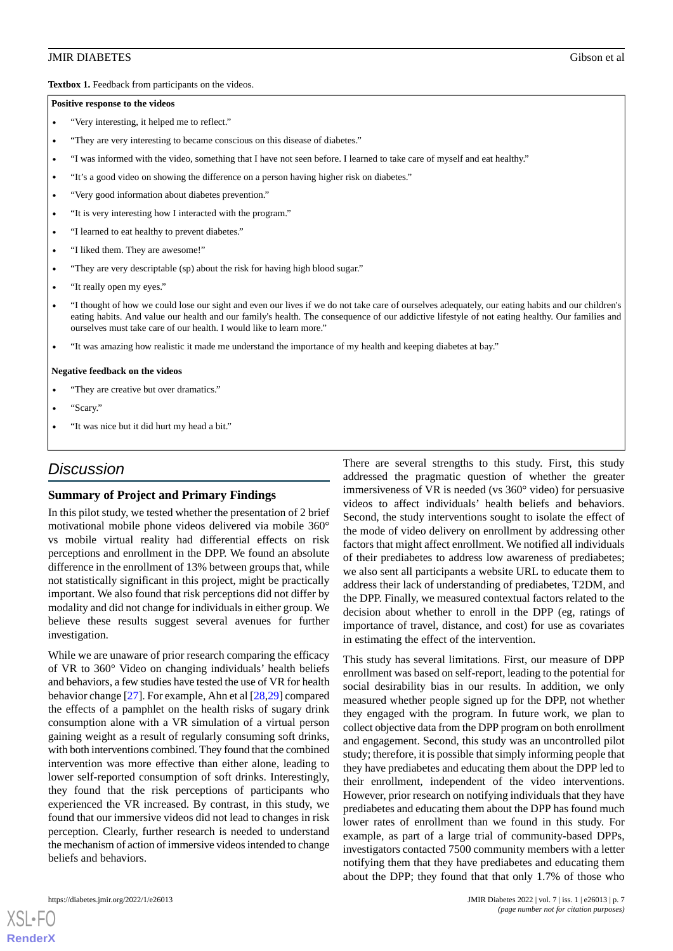<span id="page-6-0"></span>Textbox 1. Feedback from participants on the videos.

#### **Positive response to the videos**

- "Very interesting, it helped me to reflect."
- "They are very interesting to became conscious on this disease of diabetes."
- "I was informed with the video, something that I have not seen before. I learned to take care of myself and eat healthy."
- "It's a good video on showing the difference on a person having higher risk on diabetes."
- "Very good information about diabetes prevention."
- "It is very interesting how I interacted with the program."
- "I learned to eat healthy to prevent diabetes."
- "I liked them. They are awesome!"
- "They are very descriptable (sp) about the risk for having high blood sugar."
- "It really open my eyes."
- "I thought of how we could lose our sight and even our lives if we do not take care of ourselves adequately, our eating habits and our children's eating habits. And value our health and our family's health. The consequence of our addictive lifestyle of not eating healthy. Our families and ourselves must take care of our health. I would like to learn more."
- "It was amazing how realistic it made me understand the importance of my health and keeping diabetes at bay."

#### **Negative feedback on the videos**

- "They are creative but over dramatics."
- "Scary."
- "It was nice but it did hurt my head a bit."

# *Discussion*

#### **Summary of Project and Primary Findings**

In this pilot study, we tested whether the presentation of 2 brief motivational mobile phone videos delivered via mobile 360° vs mobile virtual reality had differential effects on risk perceptions and enrollment in the DPP. We found an absolute difference in the enrollment of 13% between groups that, while not statistically significant in this project, might be practically important. We also found that risk perceptions did not differ by modality and did not change for individuals in either group. We believe these results suggest several avenues for further investigation.

While we are unaware of prior research comparing the efficacy of VR to 360° Video on changing individuals' health beliefs and behaviors, a few studies have tested the use of VR for health behavior change [[27\]](#page-8-10). For example, Ahn et al [\[28](#page-8-11)[,29](#page-8-12)] compared the effects of a pamphlet on the health risks of sugary drink consumption alone with a VR simulation of a virtual person gaining weight as a result of regularly consuming soft drinks, with both interventions combined. They found that the combined intervention was more effective than either alone, leading to lower self-reported consumption of soft drinks. Interestingly, they found that the risk perceptions of participants who experienced the VR increased. By contrast, in this study, we found that our immersive videos did not lead to changes in risk perception. Clearly, further research is needed to understand the mechanism of action of immersive videos intended to change beliefs and behaviors.

There are several strengths to this study. First, this study addressed the pragmatic question of whether the greater immersiveness of VR is needed (vs 360° video) for persuasive videos to affect individuals' health beliefs and behaviors. Second, the study interventions sought to isolate the effect of the mode of video delivery on enrollment by addressing other factors that might affect enrollment. We notified all individuals of their prediabetes to address low awareness of prediabetes; we also sent all participants a website URL to educate them to address their lack of understanding of prediabetes, T2DM, and the DPP. Finally, we measured contextual factors related to the decision about whether to enroll in the DPP (eg, ratings of importance of travel, distance, and cost) for use as covariates in estimating the effect of the intervention.

This study has several limitations. First, our measure of DPP enrollment was based on self-report, leading to the potential for social desirability bias in our results. In addition, we only measured whether people signed up for the DPP, not whether they engaged with the program. In future work, we plan to collect objective data from the DPP program on both enrollment and engagement. Second, this study was an uncontrolled pilot study; therefore, it is possible that simply informing people that they have prediabetes and educating them about the DPP led to their enrollment, independent of the video interventions. However, prior research on notifying individuals that they have prediabetes and educating them about the DPP has found much lower rates of enrollment than we found in this study. For example, as part of a large trial of community-based DPPs, investigators contacted 7500 community members with a letter notifying them that they have prediabetes and educating them about the DPP; they found that that only 1.7% of those who

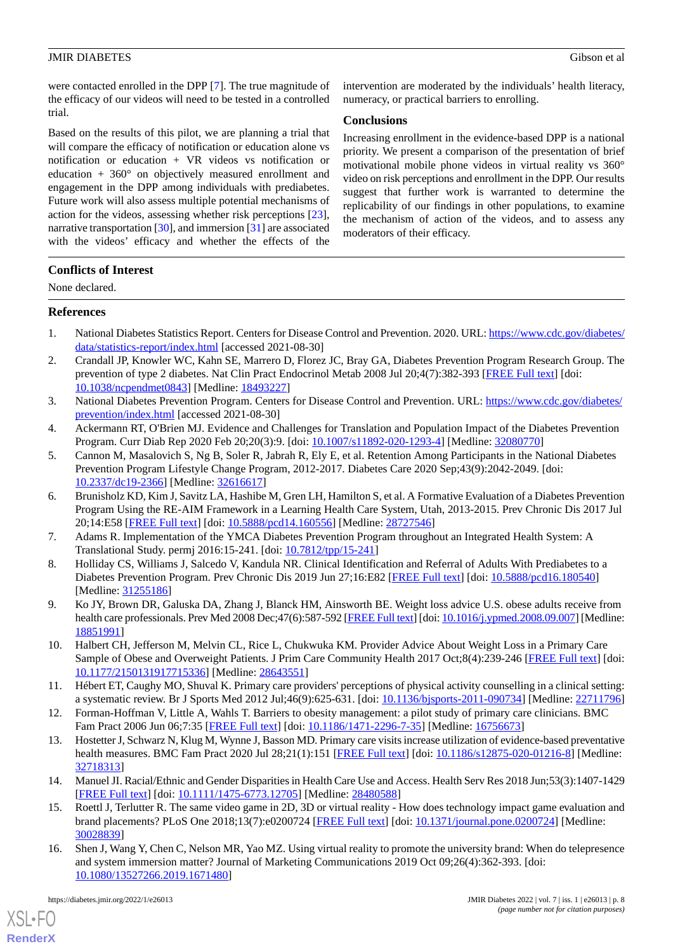were contacted enrolled in the DPP [\[7](#page-7-15)]. The true magnitude of the efficacy of our videos will need to be tested in a controlled trial.

Based on the results of this pilot, we are planning a trial that will compare the efficacy of notification or education alone vs notification or education + VR videos vs notification or education + 360° on objectively measured enrollment and engagement in the DPP among individuals with prediabetes. Future work will also assess multiple potential mechanisms of action for the videos, assessing whether risk perceptions [[23\]](#page-8-6), narrative transportation [[30\]](#page-8-13), and immersion [[31\]](#page-8-14) are associated with the videos' efficacy and whether the effects of the

intervention are moderated by the individuals' health literacy, numeracy, or practical barriers to enrolling.

#### **Conclusions**

Increasing enrollment in the evidence-based DPP is a national priority. We present a comparison of the presentation of brief motivational mobile phone videos in virtual reality vs 360° video on risk perceptions and enrollment in the DPP. Our results suggest that further work is warranted to determine the replicability of our findings in other populations, to examine the mechanism of action of the videos, and to assess any moderators of their efficacy.

## **Conflicts of Interest**

<span id="page-7-0"></span>None declared.

#### **References**

- <span id="page-7-1"></span>1. National Diabetes Statistics Report. Centers for Disease Control and Prevention. 2020. URL: [https://www.cdc.gov/diabetes/](https://www.cdc.gov/diabetes/data/statistics-report/index.html) [data/statistics-report/index.html](https://www.cdc.gov/diabetes/data/statistics-report/index.html) [accessed 2021-08-30]
- <span id="page-7-2"></span>2. Crandall JP, Knowler WC, Kahn SE, Marrero D, Florez JC, Bray GA, Diabetes Prevention Program Research Group. The prevention of type 2 diabetes. Nat Clin Pract Endocrinol Metab 2008 Jul 20;4(7):382-393 [[FREE Full text](http://europepmc.org/abstract/MED/18493227)] [doi: [10.1038/ncpendmet0843\]](http://dx.doi.org/10.1038/ncpendmet0843) [Medline: [18493227](http://www.ncbi.nlm.nih.gov/entrez/query.fcgi?cmd=Retrieve&db=PubMed&list_uids=18493227&dopt=Abstract)]
- <span id="page-7-4"></span><span id="page-7-3"></span>3. National Diabetes Prevention Program. Centers for Disease Control and Prevention. URL: [https://www.cdc.gov/diabetes/](https://www.cdc.gov/diabetes/prevention/index.html) [prevention/index.html](https://www.cdc.gov/diabetes/prevention/index.html) [accessed 2021-08-30]
- 4. Ackermann RT, O'Brien MJ. Evidence and Challenges for Translation and Population Impact of the Diabetes Prevention Program. Curr Diab Rep 2020 Feb 20;20(3):9. [doi:  $10.1007/s11892-020-1293-4$ ] [Medline: [32080770\]](http://www.ncbi.nlm.nih.gov/entrez/query.fcgi?cmd=Retrieve&db=PubMed&list_uids=32080770&dopt=Abstract)
- <span id="page-7-5"></span>5. Cannon M, Masalovich S, Ng B, Soler R, Jabrah R, Ely E, et al. Retention Among Participants in the National Diabetes Prevention Program Lifestyle Change Program, 2012-2017. Diabetes Care 2020 Sep;43(9):2042-2049. [doi: [10.2337/dc19-2366\]](http://dx.doi.org/10.2337/dc19-2366) [Medline: [32616617](http://www.ncbi.nlm.nih.gov/entrez/query.fcgi?cmd=Retrieve&db=PubMed&list_uids=32616617&dopt=Abstract)]
- <span id="page-7-15"></span><span id="page-7-6"></span>6. Brunisholz KD, Kim J, Savitz LA, Hashibe M, Gren LH, Hamilton S, et al. A Formative Evaluation of a Diabetes Prevention Program Using the RE-AIM Framework in a Learning Health Care System, Utah, 2013-2015. Prev Chronic Dis 2017 Jul 20;14:E58 [\[FREE Full text](https://www.cdc.gov/pcd/issues/2017/16_0556.htm)] [doi: [10.5888/pcd14.160556\]](http://dx.doi.org/10.5888/pcd14.160556) [Medline: [28727546\]](http://www.ncbi.nlm.nih.gov/entrez/query.fcgi?cmd=Retrieve&db=PubMed&list_uids=28727546&dopt=Abstract)
- <span id="page-7-7"></span>7. Adams R. Implementation of the YMCA Diabetes Prevention Program throughout an Integrated Health System: A Translational Study. permj 2016:15-241. [doi: [10.7812/tpp/15-241\]](http://dx.doi.org/10.7812/tpp/15-241)
- <span id="page-7-8"></span>8. Holliday CS, Williams J, Salcedo V, Kandula NR. Clinical Identification and Referral of Adults With Prediabetes to a Diabetes Prevention Program. Prev Chronic Dis 2019 Jun 27;16:E82 [[FREE Full text](https://www.cdc.gov/pcd/issues/2019/18_0540.htm)] [doi: [10.5888/pcd16.180540\]](http://dx.doi.org/10.5888/pcd16.180540) [Medline: [31255186](http://www.ncbi.nlm.nih.gov/entrez/query.fcgi?cmd=Retrieve&db=PubMed&list_uids=31255186&dopt=Abstract)]
- <span id="page-7-9"></span>9. Ko JY, Brown DR, Galuska DA, Zhang J, Blanck HM, Ainsworth BE. Weight loss advice U.S. obese adults receive from health care professionals. Prev Med 2008 Dec;47(6):587-592 [[FREE Full text\]](http://europepmc.org/abstract/MED/18851991) [doi: [10.1016/j.ypmed.2008.09.007\]](http://dx.doi.org/10.1016/j.ypmed.2008.09.007) [Medline: [18851991](http://www.ncbi.nlm.nih.gov/entrez/query.fcgi?cmd=Retrieve&db=PubMed&list_uids=18851991&dopt=Abstract)]
- <span id="page-7-10"></span>10. Halbert CH, Jefferson M, Melvin CL, Rice L, Chukwuka KM. Provider Advice About Weight Loss in a Primary Care Sample of Obese and Overweight Patients. J Prim Care Community Health 2017 Oct;8(4):239-246 [[FREE Full text](https://journals.sagepub.com/doi/10.1177/2150131917715336?url_ver=Z39.88-2003&rfr_id=ori:rid:crossref.org&rfr_dat=cr_pub%3dpubmed)] [doi: [10.1177/2150131917715336\]](http://dx.doi.org/10.1177/2150131917715336) [Medline: [28643551\]](http://www.ncbi.nlm.nih.gov/entrez/query.fcgi?cmd=Retrieve&db=PubMed&list_uids=28643551&dopt=Abstract)
- <span id="page-7-11"></span>11. Hébert ET, Caughy MO, Shuval K. Primary care providers' perceptions of physical activity counselling in a clinical setting: a systematic review. Br J Sports Med 2012 Jul;46(9):625-631. [doi: [10.1136/bjsports-2011-090734\]](http://dx.doi.org/10.1136/bjsports-2011-090734) [Medline: [22711796](http://www.ncbi.nlm.nih.gov/entrez/query.fcgi?cmd=Retrieve&db=PubMed&list_uids=22711796&dopt=Abstract)]
- <span id="page-7-12"></span>12. Forman-Hoffman V, Little A, Wahls T. Barriers to obesity management: a pilot study of primary care clinicians. BMC Fam Pract 2006 Jun 06;7:35 [[FREE Full text](https://bmcfampract.biomedcentral.com/articles/10.1186/1471-2296-7-35)] [doi: [10.1186/1471-2296-7-35\]](http://dx.doi.org/10.1186/1471-2296-7-35) [Medline: [16756673\]](http://www.ncbi.nlm.nih.gov/entrez/query.fcgi?cmd=Retrieve&db=PubMed&list_uids=16756673&dopt=Abstract)
- <span id="page-7-13"></span>13. Hostetter J, Schwarz N, Klug M, Wynne J, Basson MD. Primary care visits increase utilization of evidence-based preventative health measures. BMC Fam Pract 2020 Jul 28;21(1):151 [\[FREE Full text\]](https://bmcfampract.biomedcentral.com/articles/10.1186/s12875-020-01216-8) [doi: [10.1186/s12875-020-01216-8](http://dx.doi.org/10.1186/s12875-020-01216-8)] [Medline: [32718313](http://www.ncbi.nlm.nih.gov/entrez/query.fcgi?cmd=Retrieve&db=PubMed&list_uids=32718313&dopt=Abstract)]
- <span id="page-7-14"></span>14. Manuel JI. Racial/Ethnic and Gender Disparities in Health Care Use and Access. Health Serv Res 2018 Jun;53(3):1407-1429 [[FREE Full text](http://europepmc.org/abstract/MED/28480588)] [doi: [10.1111/1475-6773.12705\]](http://dx.doi.org/10.1111/1475-6773.12705) [Medline: [28480588](http://www.ncbi.nlm.nih.gov/entrez/query.fcgi?cmd=Retrieve&db=PubMed&list_uids=28480588&dopt=Abstract)]
- 15. Roettl J, Terlutter R. The same video game in 2D, 3D or virtual reality How does technology impact game evaluation and brand placements? PLoS One 2018;13(7):e0200724 [\[FREE Full text](https://dx.plos.org/10.1371/journal.pone.0200724)] [doi: [10.1371/journal.pone.0200724\]](http://dx.doi.org/10.1371/journal.pone.0200724) [Medline: [30028839](http://www.ncbi.nlm.nih.gov/entrez/query.fcgi?cmd=Retrieve&db=PubMed&list_uids=30028839&dopt=Abstract)]
- 16. Shen J, Wang Y, Chen C, Nelson MR, Yao MZ. Using virtual reality to promote the university brand: When do telepresence and system immersion matter? Journal of Marketing Communications 2019 Oct 09;26(4):362-393. [doi: [10.1080/13527266.2019.1671480\]](http://dx.doi.org/10.1080/13527266.2019.1671480)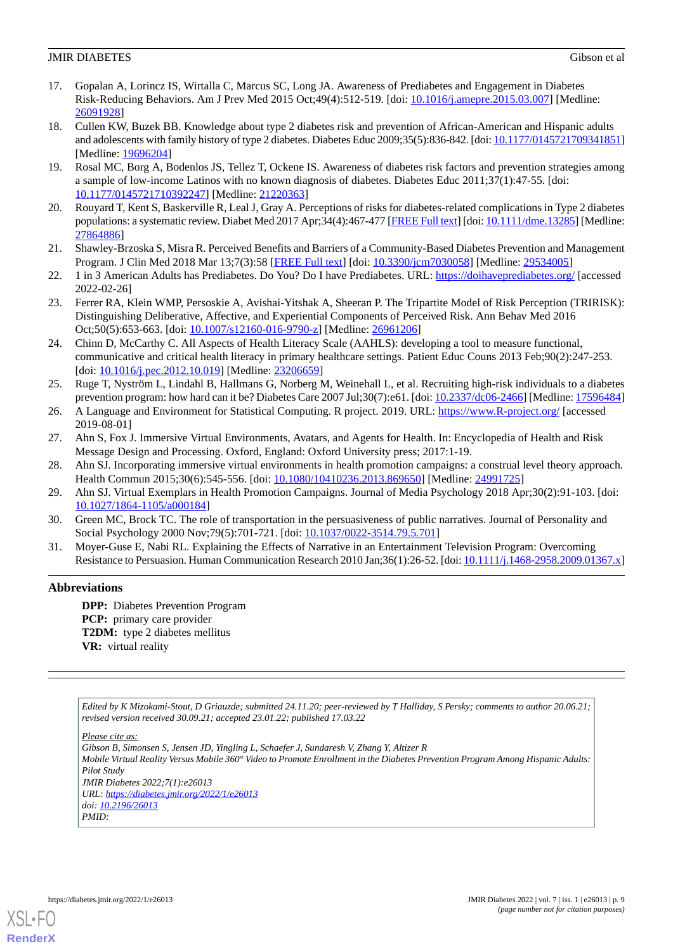- <span id="page-8-0"></span>17. Gopalan A, Lorincz IS, Wirtalla C, Marcus SC, Long JA. Awareness of Prediabetes and Engagement in Diabetes Risk-Reducing Behaviors. Am J Prev Med 2015 Oct;49(4):512-519. [doi: [10.1016/j.amepre.2015.03.007](http://dx.doi.org/10.1016/j.amepre.2015.03.007)] [Medline: [26091928](http://www.ncbi.nlm.nih.gov/entrez/query.fcgi?cmd=Retrieve&db=PubMed&list_uids=26091928&dopt=Abstract)]
- <span id="page-8-1"></span>18. Cullen KW, Buzek BB. Knowledge about type 2 diabetes risk and prevention of African-American and Hispanic adults and adolescents with family history of type 2 diabetes. Diabetes Educ 2009;35(5):836-842. [doi: [10.1177/0145721709341851\]](http://dx.doi.org/10.1177/0145721709341851) [Medline: [19696204](http://www.ncbi.nlm.nih.gov/entrez/query.fcgi?cmd=Retrieve&db=PubMed&list_uids=19696204&dopt=Abstract)]
- <span id="page-8-2"></span>19. Rosal MC, Borg A, Bodenlos JS, Tellez T, Ockene IS. Awareness of diabetes risk factors and prevention strategies among a sample of low-income Latinos with no known diagnosis of diabetes. Diabetes Educ 2011;37(1):47-55. [doi: [10.1177/0145721710392247\]](http://dx.doi.org/10.1177/0145721710392247) [Medline: [21220363\]](http://www.ncbi.nlm.nih.gov/entrez/query.fcgi?cmd=Retrieve&db=PubMed&list_uids=21220363&dopt=Abstract)
- <span id="page-8-4"></span><span id="page-8-3"></span>20. Rouyard T, Kent S, Baskerville R, Leal J, Gray A. Perceptions of risks for diabetes-related complications in Type 2 diabetes populations: a systematic review. Diabet Med 2017 Apr;34(4):467-477 [\[FREE Full text\]](http://europepmc.org/abstract/MED/27864886) [doi: [10.1111/dme.13285\]](http://dx.doi.org/10.1111/dme.13285) [Medline: [27864886](http://www.ncbi.nlm.nih.gov/entrez/query.fcgi?cmd=Retrieve&db=PubMed&list_uids=27864886&dopt=Abstract)]
- <span id="page-8-5"></span>21. Shawley-Brzoska S, Misra R. Perceived Benefits and Barriers of a Community-Based Diabetes Prevention and Management Program. J Clin Med 2018 Mar 13;7(3):58 [[FREE Full text](https://www.mdpi.com/resolver?pii=jcm7030058)] [doi: [10.3390/jcm7030058\]](http://dx.doi.org/10.3390/jcm7030058) [Medline: [29534005](http://www.ncbi.nlm.nih.gov/entrez/query.fcgi?cmd=Retrieve&db=PubMed&list_uids=29534005&dopt=Abstract)]
- <span id="page-8-6"></span>22. 1 in 3 American Adults has Prediabetes. Do You? Do I have Prediabetes. URL: <https://doihaveprediabetes.org/> [accessed 2022-02-26]
- <span id="page-8-7"></span>23. Ferrer RA, Klein WMP, Persoskie A, Avishai-Yitshak A, Sheeran P. The Tripartite Model of Risk Perception (TRIRISK): Distinguishing Deliberative, Affective, and Experiential Components of Perceived Risk. Ann Behav Med 2016 Oct;50(5):653-663. [doi: [10.1007/s12160-016-9790-z\]](http://dx.doi.org/10.1007/s12160-016-9790-z) [Medline: [26961206](http://www.ncbi.nlm.nih.gov/entrez/query.fcgi?cmd=Retrieve&db=PubMed&list_uids=26961206&dopt=Abstract)]
- <span id="page-8-8"></span>24. Chinn D, McCarthy C. All Aspects of Health Literacy Scale (AAHLS): developing a tool to measure functional, communicative and critical health literacy in primary healthcare settings. Patient Educ Couns 2013 Feb;90(2):247-253. [doi: 10.1016/*j.pec.2012.10.019*] [Medline: [23206659\]](http://www.ncbi.nlm.nih.gov/entrez/query.fcgi?cmd=Retrieve&db=PubMed&list_uids=23206659&dopt=Abstract)
- <span id="page-8-10"></span><span id="page-8-9"></span>25. Ruge T, Nyström L, Lindahl B, Hallmans G, Norberg M, Weinehall L, et al. Recruiting high-risk individuals to a diabetes prevention program: how hard can it be? Diabetes Care 2007 Jul;30(7):e61. [doi: [10.2337/dc06-2466\]](http://dx.doi.org/10.2337/dc06-2466) [Medline: [17596484](http://www.ncbi.nlm.nih.gov/entrez/query.fcgi?cmd=Retrieve&db=PubMed&list_uids=17596484&dopt=Abstract)]
- <span id="page-8-11"></span>26. A Language and Environment for Statistical Computing. R project. 2019. URL: <https://www.R-project.org/> [accessed 2019-08-01]
- <span id="page-8-12"></span>27. Ahn S, Fox J. Immersive Virtual Environments, Avatars, and Agents for Health. In: Encyclopedia of Health and Risk Message Design and Processing. Oxford, England: Oxford University press; 2017:1-19.
- <span id="page-8-13"></span>28. Ahn SJ. Incorporating immersive virtual environments in health promotion campaigns: a construal level theory approach. Health Commun 2015;30(6):545-556. [doi: [10.1080/10410236.2013.869650\]](http://dx.doi.org/10.1080/10410236.2013.869650) [Medline: [24991725](http://www.ncbi.nlm.nih.gov/entrez/query.fcgi?cmd=Retrieve&db=PubMed&list_uids=24991725&dopt=Abstract)]
- <span id="page-8-14"></span>29. Ahn SJ. Virtual Exemplars in Health Promotion Campaigns. Journal of Media Psychology 2018 Apr;30(2):91-103. [doi: [10.1027/1864-1105/a000184](http://dx.doi.org/10.1027/1864-1105/a000184)]
- 30. Green MC, Brock TC. The role of transportation in the persuasiveness of public narratives. Journal of Personality and Social Psychology 2000 Nov;79(5):701-721. [doi: [10.1037/0022-3514.79.5.701\]](http://dx.doi.org/10.1037/0022-3514.79.5.701)
- 31. Moyer-Guse E, Nabi RL. Explaining the Effects of Narrative in an Entertainment Television Program: Overcoming Resistance to Persuasion. Human Communication Research 2010 Jan;36(1):26-52. [doi: [10.1111/j.1468-2958.2009.01367.x\]](http://dx.doi.org/10.1111/j.1468-2958.2009.01367.x)

## **Abbreviations**

**DPP:** Diabetes Prevention Program **PCP:** primary care provider **T2DM:** type 2 diabetes mellitus **VR:** virtual reality

*Edited by K Mizokami-Stout, D Griauzde; submitted 24.11.20; peer-reviewed by T Halliday, S Persky; comments to author 20.06.21; revised version received 30.09.21; accepted 23.01.22; published 17.03.22*

*Please cite as:*

*Gibson B, Simonsen S, Jensen JD, Yingling L, Schaefer J, Sundaresh V, Zhang Y, Altizer R Mobile Virtual Reality Versus Mobile 360° Video to Promote Enrollment in the Diabetes Prevention Program Among Hispanic Adults: Pilot Study JMIR Diabetes 2022;7(1):e26013 URL: <https://diabetes.jmir.org/2022/1/e26013> doi: [10.2196/26013](http://dx.doi.org/10.2196/26013) PMID:*